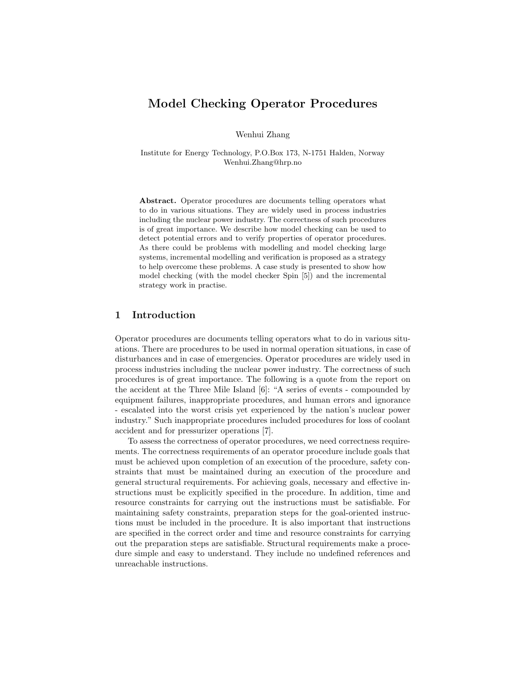# **Model Checking Operator Procedures**

Wenhui Zhang

Institute for Energy Technology, P.O.Box 173, N-1751 Halden, Norway Wenhui.Zhang@hrp.no

**Abstract.** Operator procedures are documents telling operators what to do in various situations. They are widely used in process industries including the nuclear power industry. The correctness of such procedures is of great importance. We describe how model checking can be used to detect potential errors and to verify properties of operator procedures. As there could be problems with modelling and model checking large systems, incremental modelling and verification is proposed as a strategy to help overcome these problems. A case study is presented to show how model checking (with the model checker Spin [5]) and the incremental strategy work in practise.

#### **1 Introduction**

Operator procedures are documents telling operators what to do in various situations. There are procedures to be used in normal operation situations, in case of disturbances and in case of emergencies. Operator procedures are widely used in process industries including the nuclear power industry. The correctness of such procedures is of great importance. The following is a quote from the report on the accident at the Three Mile Island [6]: "A series of events - compounded by equipment failures, inappropriate procedures, and human errors and ignorance - escalated into the worst crisis yet experienced by the nation's nuclear power industry." Such inappropriate procedures included procedures for loss of coolant accident and for pressurizer operations [7].

To assess the correctness of operator procedures, we need correctness requirements. The correctness requirements of an operator procedure include goals that must be achieved upon completion of an execution of the procedure, safety constraints that must be maintained during an execution of the procedure and general structural requirements. For achieving goals, necessary and effective instructions must be explicitly specified in the procedure. In addition, time and resource constraints for carrying out the instructions must be satisfiable. For maintaining safety constraints, preparation steps for the goal-oriented instructions must be included in the procedure. It is also important that instructions are specified in the correct order and time and resource constraints for carrying out the preparation steps are satisfiable. Structural requirements make a procedure simple and easy to understand. They include no undefined references and unreachable instructions.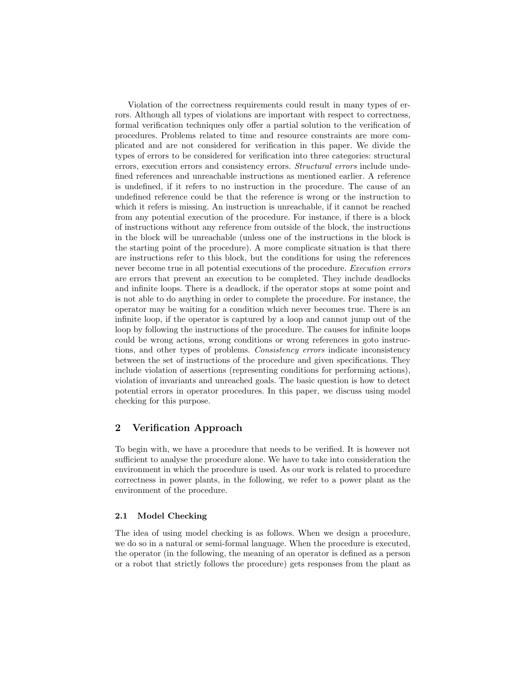Violation of the correctness requirements could result in many types of errors. Although all types of violations are important with respect to correctness, formal verification techniques only offer a partial solution to the verification of procedures. Problems related to time and resource constraints are more complicated and are not considered for verification in this paper. We divide the types of errors to be considered for verification into three categories: structural errors, execution errors and consistency errors. Structural errors include undefined references and unreachable instructions as mentioned earlier. A reference is undefined, if it refers to no instruction in the procedure. The cause of an undefined reference could be that the reference is wrong or the instruction to which it refers is missing. An instruction is unreachable, if it cannot be reached from any potential execution of the procedure. For instance, if there is a block of instructions without any reference from outside of the block, the instructions in the block will be unreachable (unless one of the instructions in the block is the starting point of the procedure). A more complicate situation is that there are instructions refer to this block, but the conditions for using the references never become true in all potential executions of the procedure. Execution errors are errors that prevent an execution to be completed. They include deadlocks and infinite loops. There is a deadlock, if the operator stops at some point and is not able to do anything in order to complete the procedure. For instance, the operator may be waiting for a condition which never becomes true. There is an infinite loop, if the operator is captured by a loop and cannot jump out of the loop by following the instructions of the procedure. The causes for infinite loops could be wrong actions, wrong conditions or wrong references in goto instructions, and other types of problems. Consistency errors indicate inconsistency between the set of instructions of the procedure and given specifications. They include violation of assertions (representing conditions for performing actions), violation of invariants and unreached goals. The basic question is how to detect potential errors in operator procedures. In this paper, we discuss using model checking for this purpose.

### **2 Verification Approach**

To begin with, we have a procedure that needs to be verified. It is however not sufficient to analyse the procedure alone. We have to take into consideration the environment in which the procedure is used. As our work is related to procedure correctness in power plants, in the following, we refer to a power plant as the environment of the procedure.

#### **2.1 Model Checking**

The idea of using model checking is as follows. When we design a procedure, we do so in a natural or semi-formal language. When the procedure is executed, the operator (in the following, the meaning of an operator is defined as a person or a robot that strictly follows the procedure) gets responses from the plant as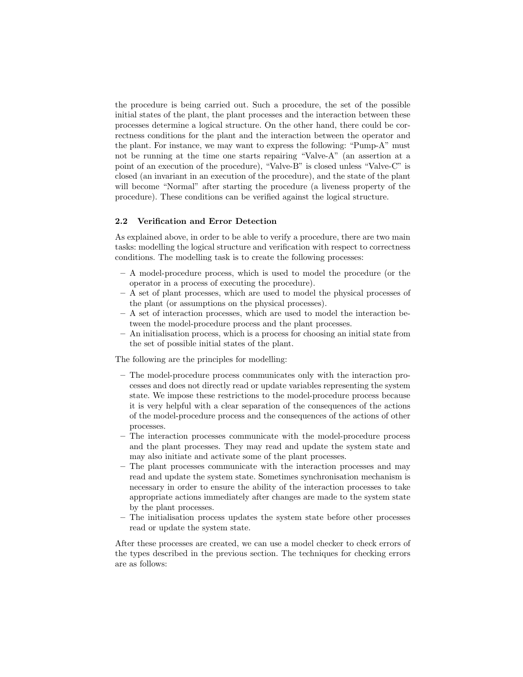the procedure is being carried out. Such a procedure, the set of the possible initial states of the plant, the plant processes and the interaction between these processes determine a logical structure. On the other hand, there could be correctness conditions for the plant and the interaction between the operator and the plant. For instance, we may want to express the following: "Pump-A" must not be running at the time one starts repairing "Valve-A" (an assertion at a point of an execution of the procedure), "Valve-B" is closed unless "Valve-C" is closed (an invariant in an execution of the procedure), and the state of the plant will become "Normal" after starting the procedure (a liveness property of the procedure). These conditions can be verified against the logical structure.

#### **2.2 Verification and Error Detection**

As explained above, in order to be able to verify a procedure, there are two main tasks: modelling the logical structure and verification with respect to correctness conditions. The modelling task is to create the following processes:

- **–** A model-procedure process, which is used to model the procedure (or the operator in a process of executing the procedure).
- **–** A set of plant processes, which are used to model the physical processes of the plant (or assumptions on the physical processes).
- **–** A set of interaction processes, which are used to model the interaction between the model-procedure process and the plant processes.
- **–** An initialisation process, which is a process for choosing an initial state from the set of possible initial states of the plant.

The following are the principles for modelling:

- **–** The model-procedure process communicates only with the interaction processes and does not directly read or update variables representing the system state. We impose these restrictions to the model-procedure process because it is very helpful with a clear separation of the consequences of the actions of the model-procedure process and the consequences of the actions of other processes.
- **–** The interaction processes communicate with the model-procedure process and the plant processes. They may read and update the system state and may also initiate and activate some of the plant processes.
- **–** The plant processes communicate with the interaction processes and may read and update the system state. Sometimes synchronisation mechanism is necessary in order to ensure the ability of the interaction processes to take appropriate actions immediately after changes are made to the system state by the plant processes.
- **–** The initialisation process updates the system state before other processes read or update the system state.

After these processes are created, we can use a model checker to check errors of the types described in the previous section. The techniques for checking errors are as follows: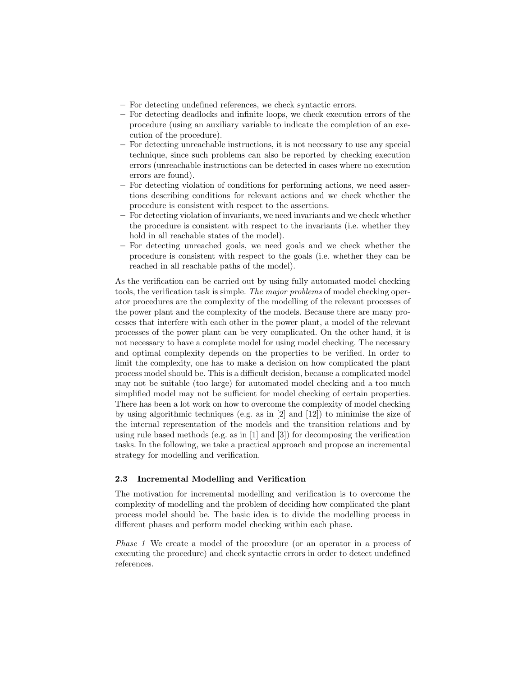- **–** For detecting undefined references, we check syntactic errors.
- **–** For detecting deadlocks and infinite loops, we check execution errors of the procedure (using an auxiliary variable to indicate the completion of an execution of the procedure).
- **–** For detecting unreachable instructions, it is not necessary to use any special technique, since such problems can also be reported by checking execution errors (unreachable instructions can be detected in cases where no execution errors are found).
- **–** For detecting violation of conditions for performing actions, we need assertions describing conditions for relevant actions and we check whether the procedure is consistent with respect to the assertions.
- **–** For detecting violation of invariants, we need invariants and we check whether the procedure is consistent with respect to the invariants (i.e. whether they hold in all reachable states of the model).
- **–** For detecting unreached goals, we need goals and we check whether the procedure is consistent with respect to the goals (i.e. whether they can be reached in all reachable paths of the model).

As the verification can be carried out by using fully automated model checking tools, the verification task is simple. The major problems of model checking operator procedures are the complexity of the modelling of the relevant processes of the power plant and the complexity of the models. Because there are many processes that interfere with each other in the power plant, a model of the relevant processes of the power plant can be very complicated. On the other hand, it is not necessary to have a complete model for using model checking. The necessary and optimal complexity depends on the properties to be verified. In order to limit the complexity, one has to make a decision on how complicated the plant process model should be. This is a difficult decision, because a complicated model may not be suitable (too large) for automated model checking and a too much simplified model may not be sufficient for model checking of certain properties. There has been a lot work on how to overcome the complexity of model checking by using algorithmic techniques (e.g. as in [2] and [12]) to minimise the size of the internal representation of the models and the transition relations and by using rule based methods (e.g. as in [1] and [3]) for decomposing the verification tasks. In the following, we take a practical approach and propose an incremental strategy for modelling and verification.

#### **2.3 Incremental Modelling and Verification**

The motivation for incremental modelling and verification is to overcome the complexity of modelling and the problem of deciding how complicated the plant process model should be. The basic idea is to divide the modelling process in different phases and perform model checking within each phase.

Phase 1 We create a model of the procedure (or an operator in a process of executing the procedure) and check syntactic errors in order to detect undefined references.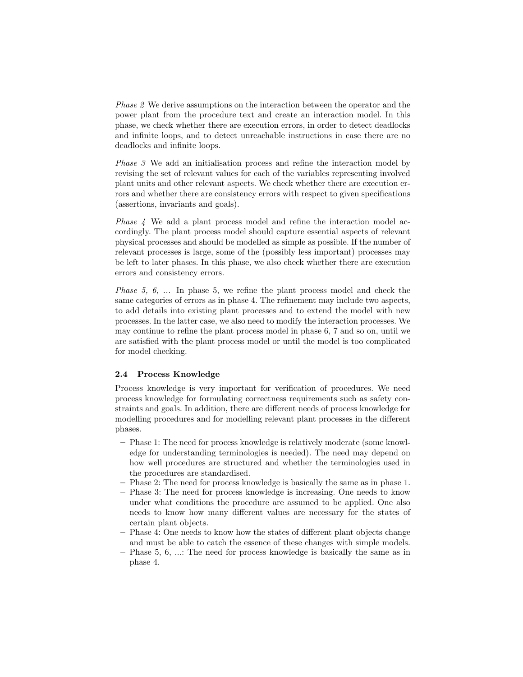Phase 2 We derive assumptions on the interaction between the operator and the power plant from the procedure text and create an interaction model. In this phase, we check whether there are execution errors, in order to detect deadlocks and infinite loops, and to detect unreachable instructions in case there are no deadlocks and infinite loops.

Phase 3 We add an initialisation process and refine the interaction model by revising the set of relevant values for each of the variables representing involved plant units and other relevant aspects. We check whether there are execution errors and whether there are consistency errors with respect to given specifications (assertions, invariants and goals).

Phase 4 We add a plant process model and refine the interaction model accordingly. The plant process model should capture essential aspects of relevant physical processes and should be modelled as simple as possible. If the number of relevant processes is large, some of the (possibly less important) processes may be left to later phases. In this phase, we also check whether there are execution errors and consistency errors.

Phase 5, 6, ... In phase 5, we refine the plant process model and check the same categories of errors as in phase 4. The refinement may include two aspects, to add details into existing plant processes and to extend the model with new processes. In the latter case, we also need to modify the interaction processes. We may continue to refine the plant process model in phase 6, 7 and so on, until we are satisfied with the plant process model or until the model is too complicated for model checking.

#### **2.4 Process Knowledge**

Process knowledge is very important for verification of procedures. We need process knowledge for formulating correctness requirements such as safety constraints and goals. In addition, there are different needs of process knowledge for modelling procedures and for modelling relevant plant processes in the different phases.

- **–** Phase 1: The need for process knowledge is relatively moderate (some knowledge for understanding terminologies is needed). The need may depend on how well procedures are structured and whether the terminologies used in the procedures are standardised.
- **–** Phase 2: The need for process knowledge is basically the same as in phase 1.
- **–** Phase 3: The need for process knowledge is increasing. One needs to know under what conditions the procedure are assumed to be applied. One also needs to know how many different values are necessary for the states of certain plant objects.
- **–** Phase 4: One needs to know how the states of different plant objects change and must be able to catch the essence of these changes with simple models.
- **–** Phase 5, 6, ...: The need for process knowledge is basically the same as in phase 4.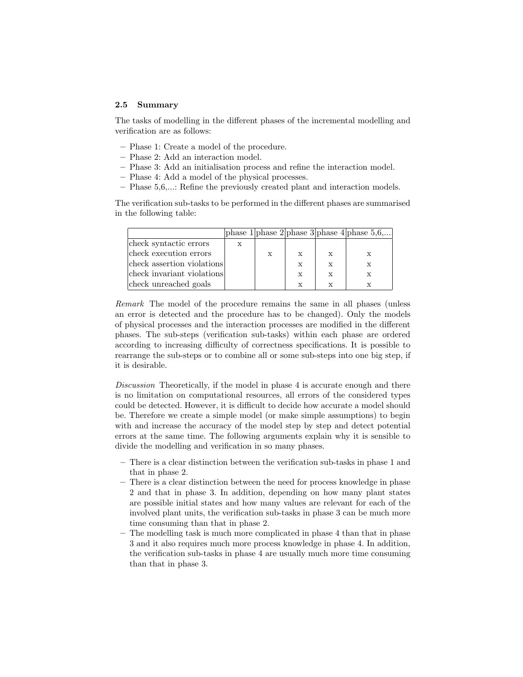#### **2.5 Summary**

The tasks of modelling in the different phases of the incremental modelling and verification are as follows:

- **–** Phase 1: Create a model of the procedure.
- **–** Phase 2: Add an interaction model.
- **–** Phase 3: Add an initialisation process and refine the interaction model.
- **–** Phase 4: Add a model of the physical processes.
- **–** Phase 5,6,...: Refine the previously created plant and interaction models.

The verification sub-tasks to be performed in the different phases are summarised in the following table:

|                            |   |   |              |              | phase 1 phase 2 phase 3 phase 4 phase $5,6,$ |
|----------------------------|---|---|--------------|--------------|----------------------------------------------|
| check syntactic errors     | X |   |              |              |                                              |
| check execution errors     |   | X | $\mathbf{x}$ | X            | х                                            |
| check assertion violations |   |   | $\mathbf{x}$ | X            | X                                            |
| check invariant violations |   |   | $\mathbf{x}$ | $\mathbf{x}$ | х                                            |
| check unreached goals      |   |   | $\mathbf{x}$ | x            |                                              |

Remark The model of the procedure remains the same in all phases (unless an error is detected and the procedure has to be changed). Only the models of physical processes and the interaction processes are modified in the different phases. The sub-steps (verification sub-tasks) within each phase are ordered according to increasing difficulty of correctness specifications. It is possible to rearrange the sub-steps or to combine all or some sub-steps into one big step, if it is desirable.

Discussion Theoretically, if the model in phase 4 is accurate enough and there is no limitation on computational resources, all errors of the considered types could be detected. However, it is difficult to decide how accurate a model should be. Therefore we create a simple model (or make simple assumptions) to begin with and increase the accuracy of the model step by step and detect potential errors at the same time. The following arguments explain why it is sensible to divide the modelling and verification in so many phases.

- **–** There is a clear distinction between the verification sub-tasks in phase 1 and that in phase 2.
- **–** There is a clear distinction between the need for process knowledge in phase 2 and that in phase 3. In addition, depending on how many plant states are possible initial states and how many values are relevant for each of the involved plant units, the verification sub-tasks in phase 3 can be much more time consuming than that in phase 2.
- **–** The modelling task is much more complicated in phase 4 than that in phase 3 and it also requires much more process knowledge in phase 4. In addition, the verification sub-tasks in phase 4 are usually much more time consuming than that in phase 3.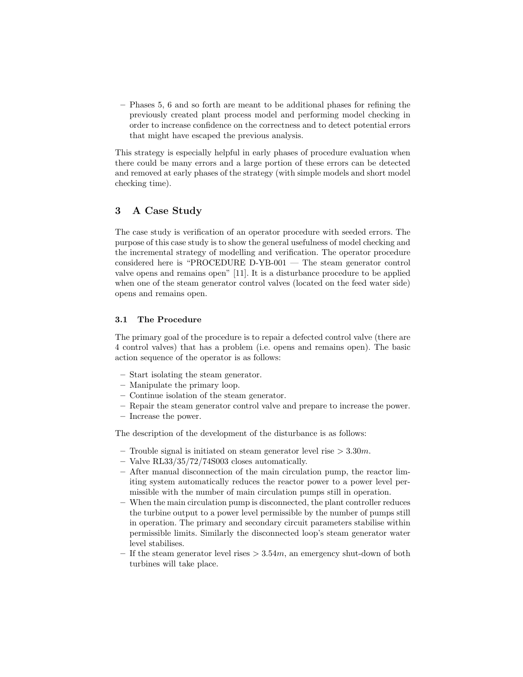**–** Phases 5, 6 and so forth are meant to be additional phases for refining the previously created plant process model and performing model checking in order to increase confidence on the correctness and to detect potential errors that might have escaped the previous analysis.

This strategy is especially helpful in early phases of procedure evaluation when there could be many errors and a large portion of these errors can be detected and removed at early phases of the strategy (with simple models and short model checking time).

## **3 A Case Study**

The case study is verification of an operator procedure with seeded errors. The purpose of this case study is to show the general usefulness of model checking and the incremental strategy of modelling and verification. The operator procedure considered here is "PROCEDURE D-YB-001 — The steam generator control valve opens and remains open" [11]. It is a disturbance procedure to be applied when one of the steam generator control valves (located on the feed water side) opens and remains open.

### **3.1 The Procedure**

The primary goal of the procedure is to repair a defected control valve (there are 4 control valves) that has a problem (i.e. opens and remains open). The basic action sequence of the operator is as follows:

- **–** Start isolating the steam generator.
- **–** Manipulate the primary loop.
- **–** Continue isolation of the steam generator.
- **–** Repair the steam generator control valve and prepare to increase the power.
- **–** Increase the power.

The description of the development of the disturbance is as follows:

- **–** Trouble signal is initiated on steam generator level rise > 3.30m.
- **–** Valve RL33/35/72/74S003 closes automatically.
- **–** After manual disconnection of the main circulation pump, the reactor limiting system automatically reduces the reactor power to a power level permissible with the number of main circulation pumps still in operation.
- **–** When the main circulation pump is disconnected, the plant controller reduces the turbine output to a power level permissible by the number of pumps still in operation. The primary and secondary circuit parameters stabilise within permissible limits. Similarly the disconnected loop's steam generator water level stabilises.
- If the steam generator level rises  $> 3.54m$ , an emergency shut-down of both turbines will take place.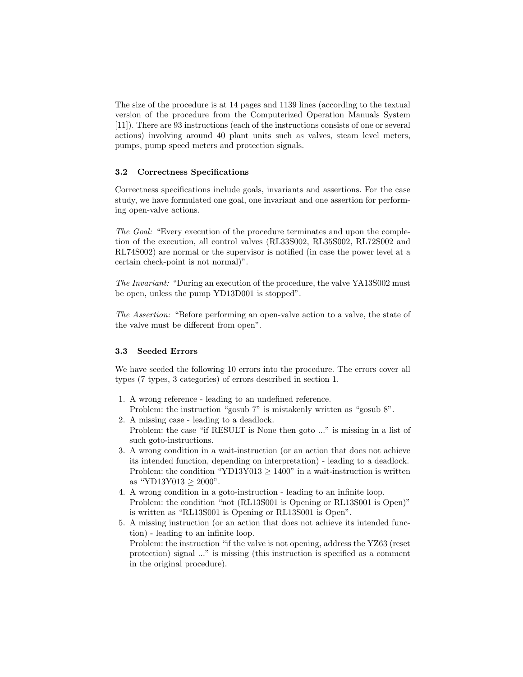The size of the procedure is at 14 pages and 1139 lines (according to the textual version of the procedure from the Computerized Operation Manuals System [11]). There are 93 instructions (each of the instructions consists of one or several actions) involving around 40 plant units such as valves, steam level meters, pumps, pump speed meters and protection signals.

### **3.2 Correctness Specifications**

Correctness specifications include goals, invariants and assertions. For the case study, we have formulated one goal, one invariant and one assertion for performing open-valve actions.

The Goal: "Every execution of the procedure terminates and upon the completion of the execution, all control valves (RL33S002, RL35S002, RL72S002 and RL74S002) are normal or the supervisor is notified (in case the power level at a certain check-point is not normal)".

The Invariant: "During an execution of the procedure, the valve YA13S002 must be open, unless the pump YD13D001 is stopped".

The Assertion: "Before performing an open-valve action to a valve, the state of the valve must be different from open".

### **3.3 Seeded Errors**

We have seeded the following 10 errors into the procedure. The errors cover all types (7 types, 3 categories) of errors described in section 1.

- 1. A wrong reference leading to an undefined reference. Problem: the instruction "gosub 7" is mistakenly written as "gosub 8".
- 2. A missing case leading to a deadlock. Problem: the case "if RESULT is None then goto ..." is missing in a list of such goto-instructions.
- 3. A wrong condition in a wait-instruction (or an action that does not achieve its intended function, depending on interpretation) - leading to a deadlock. Problem: the condition "YD13Y013  $\geq$  1400" in a wait-instruction is written as "YD13Y013  $\geq$  2000".
- 4. A wrong condition in a goto-instruction leading to an infinite loop. Problem: the condition "not (RL13S001 is Opening or RL13S001 is Open)" is written as "RL13S001 is Opening or RL13S001 is Open".
- 5. A missing instruction (or an action that does not achieve its intended function) - leading to an infinite loop. Problem: the instruction "if the valve is not opening, address the YZ63 (reset

protection) signal ..." is missing (this instruction is specified as a comment in the original procedure).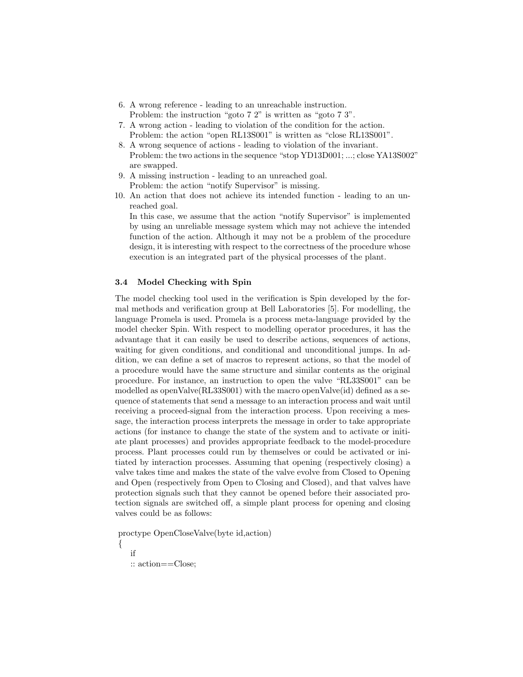- 6. A wrong reference leading to an unreachable instruction. Problem: the instruction "goto 7 2" is written as "goto 7 3".
- 7. A wrong action leading to violation of the condition for the action. Problem: the action "open RL13S001" is written as "close RL13S001".
- 8. A wrong sequence of actions leading to violation of the invariant. Problem: the two actions in the sequence "stop YD13D001; ...; close YA13S002" are swapped.
- 9. A missing instruction leading to an unreached goal. Problem: the action "notify Supervisor" is missing.
- 10. An action that does not achieve its intended function leading to an unreached goal.

In this case, we assume that the action "notify Supervisor" is implemented by using an unreliable message system which may not achieve the intended function of the action. Although it may not be a problem of the procedure design, it is interesting with respect to the correctness of the procedure whose execution is an integrated part of the physical processes of the plant.

#### **3.4 Model Checking with Spin**

The model checking tool used in the verification is Spin developed by the formal methods and verification group at Bell Laboratories [5]. For modelling, the language Promela is used. Promela is a process meta-language provided by the model checker Spin. With respect to modelling operator procedures, it has the advantage that it can easily be used to describe actions, sequences of actions, waiting for given conditions, and conditional and unconditional jumps. In addition, we can define a set of macros to represent actions, so that the model of a procedure would have the same structure and similar contents as the original procedure. For instance, an instruction to open the valve "RL33S001" can be modelled as openValve(RL33S001) with the macro openValve(id) defined as a sequence of statements that send a message to an interaction process and wait until receiving a proceed-signal from the interaction process. Upon receiving a message, the interaction process interprets the message in order to take appropriate actions (for instance to change the state of the system and to activate or initiate plant processes) and provides appropriate feedback to the model-procedure process. Plant processes could run by themselves or could be activated or initiated by interaction processes. Assuming that opening (respectively closing) a valve takes time and makes the state of the valve evolve from Closed to Opening and Open (respectively from Open to Closing and Closed), and that valves have protection signals such that they cannot be opened before their associated protection signals are switched off, a simple plant process for opening and closing valves could be as follows:

```
proctype OpenCloseValve(byte id,action)
{
   if
   :: action==Close;
```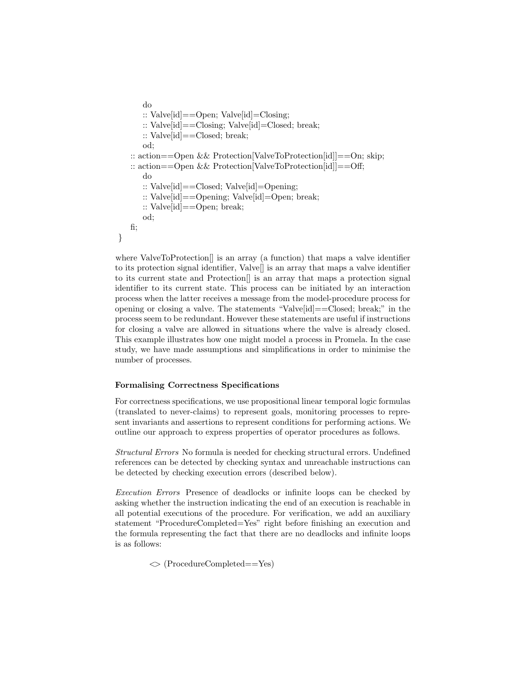```
do
   :: Valve[id]==Open; Valve[id]=Closing;
   :: Valve[id]==Closing; Valve[id]=Closed; break;
   :: Valve[id]==Closed; break;
   od;
:: action==Open && Protection[ValveToProtection[id]]==On; skip;
:: action==Open && Protection[ValveToProtection[id]]==Off;
   do
   :: Valve[id]==Closed; Valve[id]=Opening;
   :: Valve[id]==Opening; Valve[id]=Open; break;
   :: Valve[id]==Open; break;
   od;
fi;
```
where ValveToProtection.  $\parallel$  is an array (a function) that maps a valve identifier to its protection signal identifier, Valve[] is an array that maps a valve identifier to its current state and Protection[] is an array that maps a protection signal identifier to its current state. This process can be initiated by an interaction process when the latter receives a message from the model-procedure process for opening or closing a valve. The statements "Valve[id]==Closed; break;" in the process seem to be redundant. However these statements are useful if instructions for closing a valve are allowed in situations where the valve is already closed. This example illustrates how one might model a process in Promela. In the case study, we have made assumptions and simplifications in order to minimise the number of processes.

#### **Formalising Correctness Specifications**

}

For correctness specifications, we use propositional linear temporal logic formulas (translated to never-claims) to represent goals, monitoring processes to represent invariants and assertions to represent conditions for performing actions. We outline our approach to express properties of operator procedures as follows.

Structural Errors No formula is needed for checking structural errors. Undefined references can be detected by checking syntax and unreachable instructions can be detected by checking execution errors (described below).

Execution Errors Presence of deadlocks or infinite loops can be checked by asking whether the instruction indicating the end of an execution is reachable in all potential executions of the procedure. For verification, we add an auxiliary statement "ProcedureCompleted=Yes" right before finishing an execution and the formula representing the fact that there are no deadlocks and infinite loops is as follows:

 $\Diamond$  (ProcedureCompleted==Yes)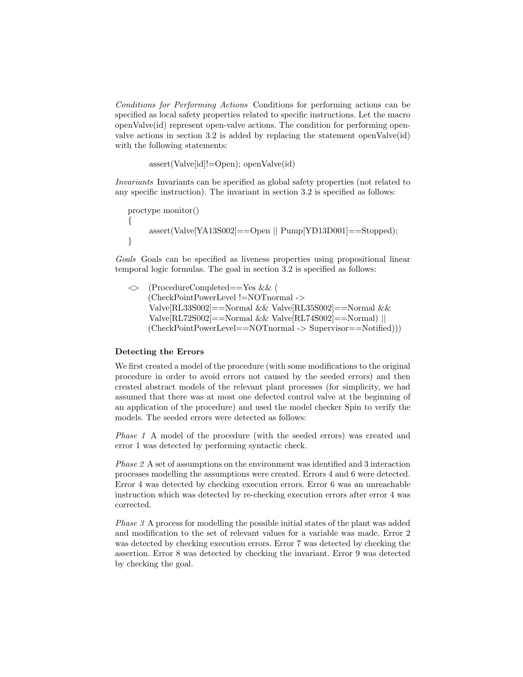Conditions for Performing Actions Conditions for performing actions can be specified as local safety properties related to specific instructions. Let the macro openValve(id) represent open-valve actions. The condition for performing openvalve actions in section 3.2 is added by replacing the statement openValve(id) with the following statements:

assert(Valve[id]!=Open); openValve(id)

Invariants Invariants can be specified as global safety properties (not related to any specific instruction). The invariant in section 3.2 is specified as follows:

```
proctype monitor()
{
    assert(Valve[YA13S002]==Open || Pump[YD13D001]==Stopped);
}
```
Goals Goals can be specified as liveness properties using propositional linear temporal logic formulas. The goal in section 3.2 is specified as follows:

```
\Diamond (ProcedureCompleted==Yes && (
    (CheckPointPowerLevel !=NOTnormal ->
    Valve[RL33S002]==Normal && Valve[RL35S002]==Normal &&
    Valve[RL72S002]==Normal && Valve[RL74S002]==Normal) ||
    (CheckPointPowerLevel == NOTnormal -> Supervisor == Notified))
```
### **Detecting the Errors**

We first created a model of the procedure (with some modifications to the original procedure in order to avoid errors not caused by the seeded errors) and then created abstract models of the relevant plant processes (for simplicity, we had assumed that there was at most one defected control valve at the beginning of an application of the procedure) and used the model checker Spin to verify the models. The seeded errors were detected as follows:

Phase 1 A model of the procedure (with the seeded errors) was created and error 1 was detected by performing syntactic check.

Phase 2 A set of assumptions on the environment was identified and 3 interaction processes modelling the assumptions were created. Errors 4 and 6 were detected. Error 4 was detected by checking execution errors. Error 6 was an unreachable instruction which was detected by re-checking execution errors after error 4 was corrected.

Phase 3 A process for modelling the possible initial states of the plant was added and modification to the set of relevant values for a variable was made. Error 2 was detected by checking execution errors. Error 7 was detected by checking the assertion. Error 8 was detected by checking the invariant. Error 9 was detected by checking the goal.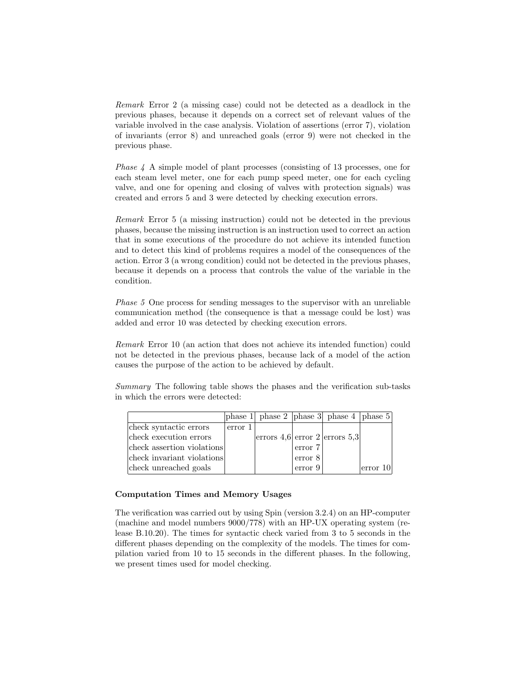Remark Error 2 (a missing case) could not be detected as a deadlock in the previous phases, because it depends on a correct set of relevant values of the variable involved in the case analysis. Violation of assertions (error 7), violation of invariants (error 8) and unreached goals (error 9) were not checked in the previous phase.

Phase 4 A simple model of plant processes (consisting of 13 processes, one for each steam level meter, one for each pump speed meter, one for each cycling valve, and one for opening and closing of valves with protection signals) was created and errors 5 and 3 were detected by checking execution errors.

Remark Error 5 (a missing instruction) could not be detected in the previous phases, because the missing instruction is an instruction used to correct an action that in some executions of the procedure do not achieve its intended function and to detect this kind of problems requires a model of the consequences of the action. Error 3 (a wrong condition) could not be detected in the previous phases, because it depends on a process that controls the value of the variable in the condition.

Phase 5 One process for sending messages to the supervisor with an unreliable communication method (the consequence is that a message could be lost) was added and error 10 was detected by checking execution errors.

Remark Error 10 (an action that does not achieve its intended function) could not be detected in the previous phases, because lack of a model of the action causes the purpose of the action to be achieved by default.

Summary The following table shows the phases and the verification sub-tasks in which the errors were detected:

|                            |         |         | phase 1 phase 2 phase 3 phase 4 phase 5  |          |
|----------------------------|---------|---------|------------------------------------------|----------|
| check syntactic errors     | error 1 |         |                                          |          |
| check execution errors     |         |         | $\rm errors~4.6 \,error~2\, errors~5.3 $ |          |
| check assertion violations |         | error 7 |                                          |          |
| check invariant violations |         | error 8 |                                          |          |
| check unreached goals      |         | error 9 |                                          | error 10 |

#### **Computation Times and Memory Usages**

The verification was carried out by using Spin (version 3.2.4) on an HP-computer (machine and model numbers 9000/778) with an HP-UX operating system (release B.10.20). The times for syntactic check varied from 3 to 5 seconds in the different phases depending on the complexity of the models. The times for compilation varied from 10 to 15 seconds in the different phases. In the following, we present times used for model checking.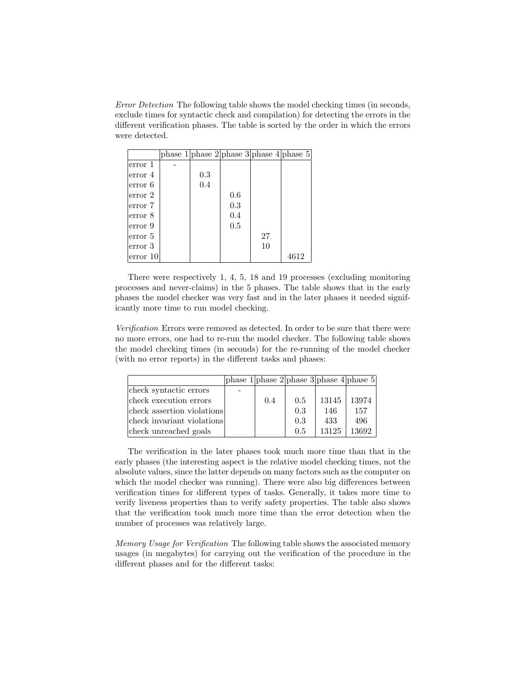Error Detection The following table shows the model checking times (in seconds, exclude times for syntactic check and compilation) for detecting the errors in the different verification phases. The table is sorted by the order in which the errors were detected.

|          | phase 1   phase 2   phase 3   phase 4   phase 5 |     |    |      |
|----------|-------------------------------------------------|-----|----|------|
| error 1  |                                                 |     |    |      |
| error 4  | 0.3                                             |     |    |      |
| error 6  | 0.4                                             |     |    |      |
| error 2  |                                                 | 0.6 |    |      |
| error 7  |                                                 | 0.3 |    |      |
| error 8  |                                                 | 0.4 |    |      |
| error 9  |                                                 | 0.5 |    |      |
| error 5  |                                                 |     | 27 |      |
| error 3  |                                                 |     | 10 |      |
| error 10 |                                                 |     |    | 4612 |

There were respectively 1, 4, 5, 18 and 19 processes (excluding monitoring processes and never-claims) in the 5 phases. The table shows that in the early phases the model checker was very fast and in the later phases it needed significantly more time to run model checking.

Verification Errors were removed as detected. In order to be sure that there were no more errors, one had to re-run the model checker. The following table shows the model checking times (in seconds) for the re-running of the model checker (with no error reports) in the different tasks and phases:

|                            |  |     |     | phase 1 phase 2 phase 3 phase 4 phase 5 |       |
|----------------------------|--|-----|-----|-----------------------------------------|-------|
| check syntactic errors     |  |     |     |                                         |       |
| check execution errors     |  | 0.4 | 0.5 | 13145                                   | 13974 |
| check assertion violations |  |     | 0.3 | 146                                     | 157   |
| check invariant violations |  |     | 0.3 | 433                                     | 496   |
| check unreached goals      |  |     | 0.5 | 13125                                   | 13692 |

The verification in the later phases took much more time than that in the early phases (the interesting aspect is the relative model checking times, not the absolute values, since the latter depends on many factors such as the computer on which the model checker was running). There were also big differences between verification times for different types of tasks. Generally, it takes more time to verify liveness properties than to verify safety properties. The table also shows that the verification took much more time than the error detection when the number of processes was relatively large.

Memory Usage for Verification The following table shows the associated memory usages (in megabytes) for carrying out the verification of the procedure in the different phases and for the different tasks: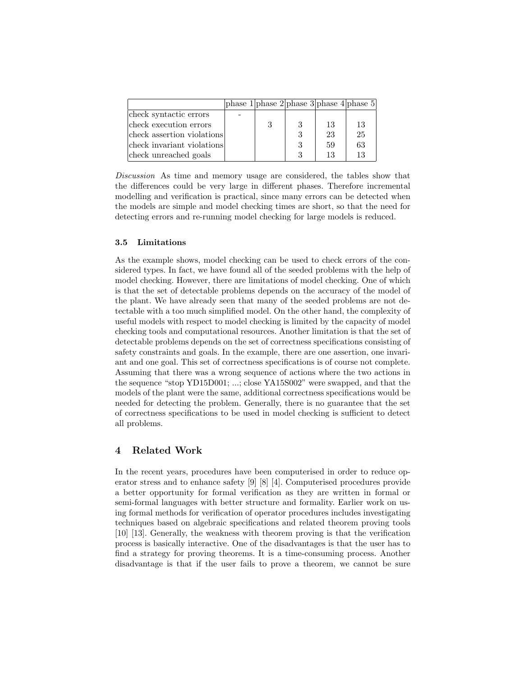|                            |  |  |    | phase 1 phase 2 phase 3 phase 4 phase 5 |
|----------------------------|--|--|----|-----------------------------------------|
| check syntactic errors     |  |  |    |                                         |
| check execution errors     |  |  | 13 | 13                                      |
| check assertion violations |  |  | 23 | 25                                      |
| check invariant violations |  |  | 59 | 63                                      |
| check unreached goals      |  |  | 13 | 13                                      |

Discussion As time and memory usage are considered, the tables show that the differences could be very large in different phases. Therefore incremental modelling and verification is practical, since many errors can be detected when the models are simple and model checking times are short, so that the need for detecting errors and re-running model checking for large models is reduced.

#### **3.5 Limitations**

As the example shows, model checking can be used to check errors of the considered types. In fact, we have found all of the seeded problems with the help of model checking. However, there are limitations of model checking. One of which is that the set of detectable problems depends on the accuracy of the model of the plant. We have already seen that many of the seeded problems are not detectable with a too much simplified model. On the other hand, the complexity of useful models with respect to model checking is limited by the capacity of model checking tools and computational resources. Another limitation is that the set of detectable problems depends on the set of correctness specifications consisting of safety constraints and goals. In the example, there are one assertion, one invariant and one goal. This set of correctness specifications is of course not complete. Assuming that there was a wrong sequence of actions where the two actions in the sequence "stop YD15D001; ...; close YA15S002" were swapped, and that the models of the plant were the same, additional correctness specifications would be needed for detecting the problem. Generally, there is no guarantee that the set of correctness specifications to be used in model checking is sufficient to detect all problems.

### **4 Related Work**

In the recent years, procedures have been computerised in order to reduce operator stress and to enhance safety [9] [8] [4]. Computerised procedures provide a better opportunity for formal verification as they are written in formal or semi-formal languages with better structure and formality. Earlier work on using formal methods for verification of operator procedures includes investigating techniques based on algebraic specifications and related theorem proving tools [10] [13]. Generally, the weakness with theorem proving is that the verification process is basically interactive. One of the disadvantages is that the user has to find a strategy for proving theorems. It is a time-consuming process. Another disadvantage is that if the user fails to prove a theorem, we cannot be sure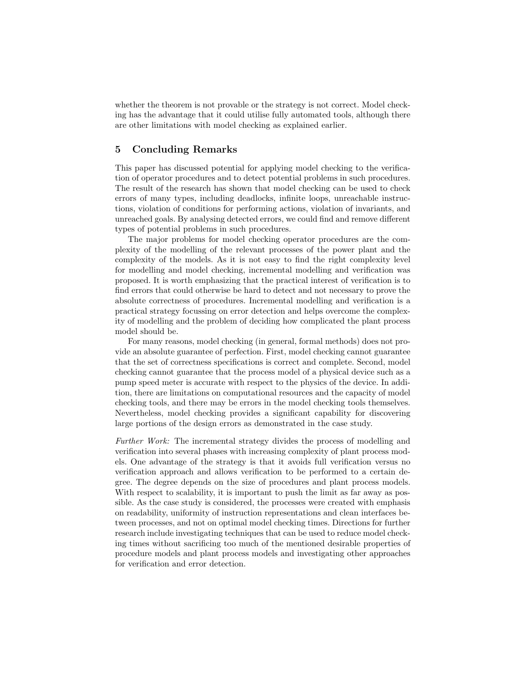whether the theorem is not provable or the strategy is not correct. Model checking has the advantage that it could utilise fully automated tools, although there are other limitations with model checking as explained earlier.

### **5 Concluding Remarks**

This paper has discussed potential for applying model checking to the verification of operator procedures and to detect potential problems in such procedures. The result of the research has shown that model checking can be used to check errors of many types, including deadlocks, infinite loops, unreachable instructions, violation of conditions for performing actions, violation of invariants, and unreached goals. By analysing detected errors, we could find and remove different types of potential problems in such procedures.

The major problems for model checking operator procedures are the complexity of the modelling of the relevant processes of the power plant and the complexity of the models. As it is not easy to find the right complexity level for modelling and model checking, incremental modelling and verification was proposed. It is worth emphasizing that the practical interest of verification is to find errors that could otherwise be hard to detect and not necessary to prove the absolute correctness of procedures. Incremental modelling and verification is a practical strategy focussing on error detection and helps overcome the complexity of modelling and the problem of deciding how complicated the plant process model should be.

For many reasons, model checking (in general, formal methods) does not provide an absolute guarantee of perfection. First, model checking cannot guarantee that the set of correctness specifications is correct and complete. Second, model checking cannot guarantee that the process model of a physical device such as a pump speed meter is accurate with respect to the physics of the device. In addition, there are limitations on computational resources and the capacity of model checking tools, and there may be errors in the model checking tools themselves. Nevertheless, model checking provides a significant capability for discovering large portions of the design errors as demonstrated in the case study.

Further Work: The incremental strategy divides the process of modelling and verification into several phases with increasing complexity of plant process models. One advantage of the strategy is that it avoids full verification versus no verification approach and allows verification to be performed to a certain degree. The degree depends on the size of procedures and plant process models. With respect to scalability, it is important to push the limit as far away as possible. As the case study is considered, the processes were created with emphasis on readability, uniformity of instruction representations and clean interfaces between processes, and not on optimal model checking times. Directions for further research include investigating techniques that can be used to reduce model checking times without sacrificing too much of the mentioned desirable properties of procedure models and plant process models and investigating other approaches for verification and error detection.